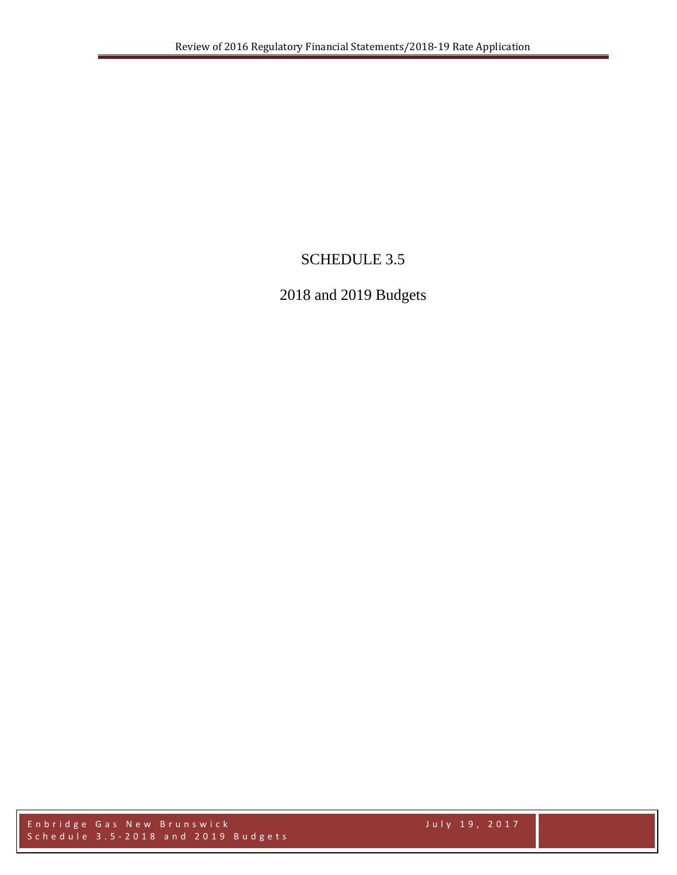# SCHEDULE 3.5

# 2018 and 2019 Budgets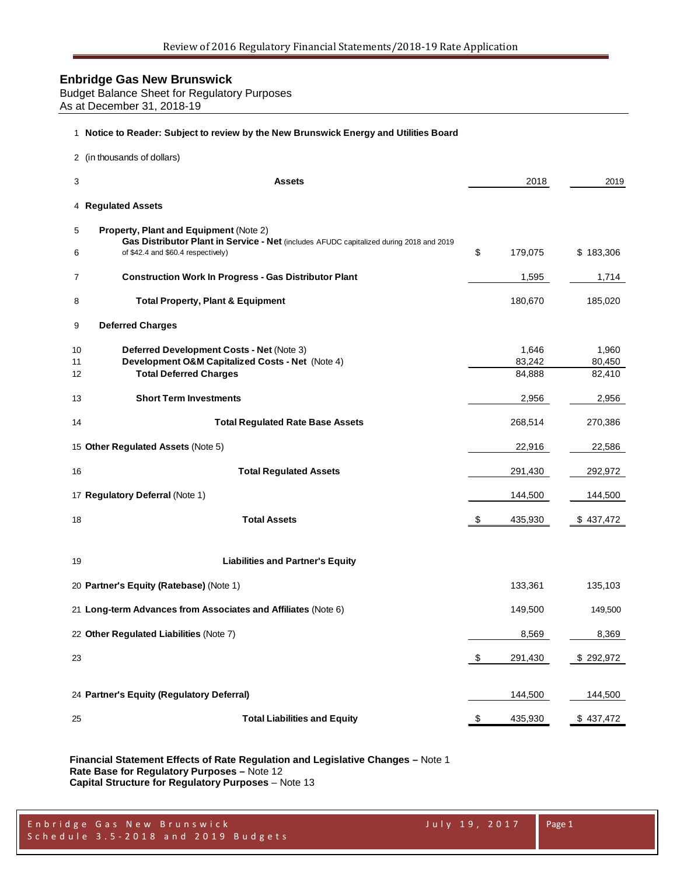Budget Balance Sheet for Regulatory Purposes As at December 31, 2018-19

#### **Notice to Reader: Subject to review by the New Brunswick Energy and Utilities Board**

|                | 2 (in thousands of dollars)                                                                                                              |                 |                 |
|----------------|------------------------------------------------------------------------------------------------------------------------------------------|-----------------|-----------------|
| 3              | Assets                                                                                                                                   | 2018            | 2019            |
|                | 4 Regulated Assets                                                                                                                       |                 |                 |
| 5              | <b>Property, Plant and Equipment (Note 2)</b><br>Gas Distributor Plant in Service - Net (includes AFUDC capitalized during 2018 and 2019 |                 |                 |
| 6              | of \$42.4 and \$60.4 respectively)                                                                                                       | \$<br>179,075   | \$183,306       |
| $\overline{7}$ | <b>Construction Work In Progress - Gas Distributor Plant</b>                                                                             | 1,595           | 1,714           |
| 8              | <b>Total Property, Plant &amp; Equipment</b>                                                                                             | 180,670         | 185,020         |
| 9              | <b>Deferred Charges</b>                                                                                                                  |                 |                 |
| 10<br>11       | Deferred Development Costs - Net (Note 3)<br>Development O&M Capitalized Costs - Net (Note 4)                                            | 1,646<br>83,242 | 1,960<br>80,450 |
| 12             | <b>Total Deferred Charges</b>                                                                                                            | 84,888          | 82,410          |
| 13             | <b>Short Term Investments</b>                                                                                                            | 2,956           | 2,956           |
| 14             | <b>Total Regulated Rate Base Assets</b>                                                                                                  | 268,514         | 270,386         |
|                | 15 Other Regulated Assets (Note 5)                                                                                                       | 22,916          | 22,586          |
| 16             | <b>Total Regulated Assets</b>                                                                                                            | 291,430         | 292,972         |
|                | 17 Regulatory Deferral (Note 1)                                                                                                          | 144,500         | 144,500         |
| 18             | <b>Total Assets</b>                                                                                                                      | \$<br>435,930   | \$437,472       |
| 19             | <b>Liabilities and Partner's Equity</b>                                                                                                  |                 |                 |
|                | 20 Partner's Equity (Ratebase) (Note 1)                                                                                                  | 133,361         | 135,103         |
|                | 21 Long-term Advances from Associates and Affiliates (Note 6)                                                                            | 149,500         | 149,500         |
|                | 22 Other Regulated Liabilities (Note 7)                                                                                                  | 8,569           | 8,369           |
| 23             |                                                                                                                                          | \$<br>291,430   | \$292,972       |
|                | 24 Partner's Equity (Regulatory Deferral)                                                                                                | 144,500         | 144,500         |
| 25             | <b>Total Liabilities and Equity</b>                                                                                                      | \$<br>435,930   | \$437,472       |
|                |                                                                                                                                          |                 |                 |

**Financial Statement Effects of Rate Regulation and Legislative Changes –** Note 1 **Rate Base for Regulatory Purposes –** Note 12 **Capital Structure for Regulatory Purposes** – Note 13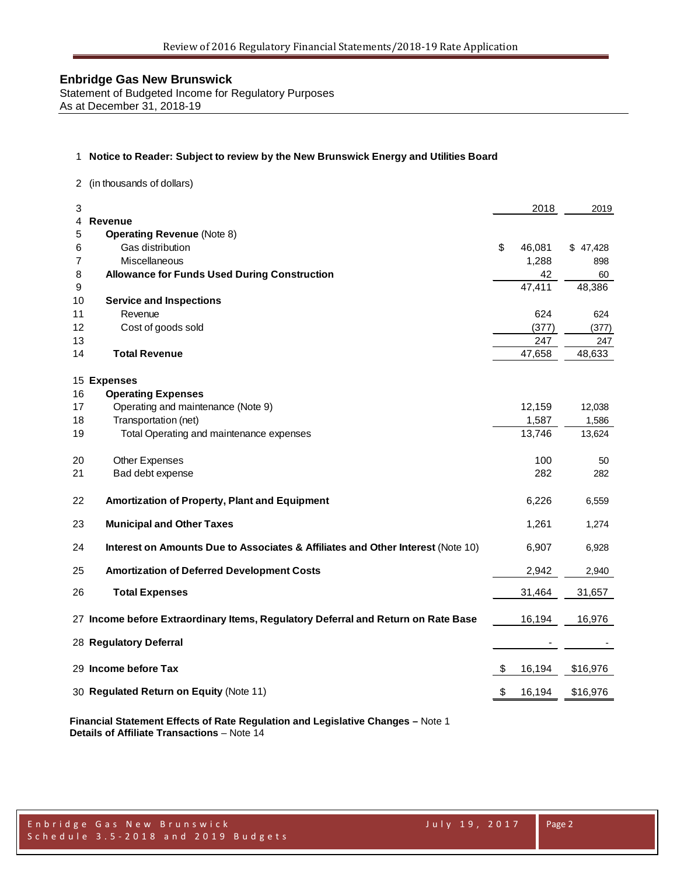Statement of Budgeted Income for Regulatory Purposes As at December 31, 2018-19

#### 1 **Notice to Reader: Subject to review by the New Brunswick Energy and Utilities Board**

2 (in thousands of dollars)

| 3                                                                                     | 2018         | 2019     |
|---------------------------------------------------------------------------------------|--------------|----------|
| Revenue<br>4                                                                          |              |          |
| <b>Operating Revenue (Note 8)</b><br>5                                                |              |          |
| Gas distribution<br>6                                                                 | \$<br>46,081 | \$47,428 |
| Miscellaneous<br>7                                                                    | 1,288        | 898      |
| 8<br><b>Allowance for Funds Used During Construction</b>                              | 42           | 60       |
| 9                                                                                     | 47,411       | 48,386   |
| 10<br><b>Service and Inspections</b>                                                  |              |          |
| 11<br>Revenue                                                                         | 624          | 624      |
| 12<br>Cost of goods sold                                                              | (377)        | (377)    |
| 13                                                                                    | 247          | 247      |
| <b>Total Revenue</b><br>14                                                            | 47,658       | 48,633   |
|                                                                                       |              |          |
| 15 Expenses                                                                           |              |          |
| 16<br><b>Operating Expenses</b>                                                       |              |          |
| Operating and maintenance (Note 9)<br>17                                              | 12,159       | 12,038   |
| Transportation (net)<br>18                                                            | 1,587        | 1,586    |
| Total Operating and maintenance expenses<br>19                                        | 13,746       | 13,624   |
|                                                                                       |              |          |
| Other Expenses<br>20                                                                  | 100          | 50       |
| Bad debt expense<br>21                                                                | 282          | 282      |
|                                                                                       |              |          |
| Amortization of Property, Plant and Equipment<br>22                                   | 6,226        | 6,559    |
|                                                                                       |              |          |
| <b>Municipal and Other Taxes</b><br>23                                                | 1,261        | 1,274    |
|                                                                                       |              |          |
| 24<br>Interest on Amounts Due to Associates & Affiliates and Other Interest (Note 10) | 6,907        | 6,928    |
|                                                                                       |              |          |
| <b>Amortization of Deferred Development Costs</b><br>25                               | 2,942        | 2,940    |
| 26<br><b>Total Expenses</b>                                                           | 31,464       | 31,657   |
|                                                                                       |              |          |
| 27 Income before Extraordinary Items, Regulatory Deferral and Return on Rate Base     | 16,194       | 16,976   |
|                                                                                       |              |          |
| 28 Regulatory Deferral                                                                |              |          |
|                                                                                       |              |          |
| 29 Income before Tax                                                                  | \$<br>16,194 | \$16,976 |
|                                                                                       |              |          |
| 30 Regulated Return on Equity (Note 11)                                               | \$<br>16,194 | \$16,976 |

**Financial Statement Effects of Rate Regulation and Legislative Changes –** Note 1 **Details of Affiliate Transactions** – Note 14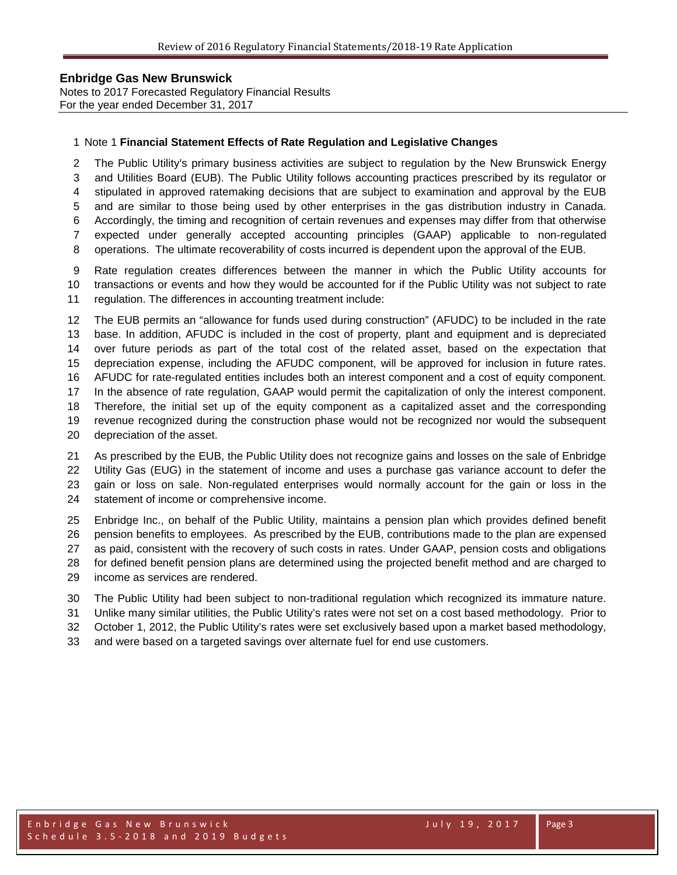Notes to 2017 Forecasted Regulatory Financial Results For the year ended December 31, 2017

#### Note 1 **Financial Statement Effects of Rate Regulation and Legislative Changes**

 The Public Utility's primary business activities are subject to regulation by the New Brunswick Energy and Utilities Board (EUB). The Public Utility follows accounting practices prescribed by its regulator or stipulated in approved ratemaking decisions that are subject to examination and approval by the EUB and are similar to those being used by other enterprises in the gas distribution industry in Canada. Accordingly, the timing and recognition of certain revenues and expenses may differ from that otherwise expected under generally accepted accounting principles (GAAP) applicable to non-regulated

operations. The ultimate recoverability of costs incurred is dependent upon the approval of the EUB.

 Rate regulation creates differences between the manner in which the Public Utility accounts for transactions or events and how they would be accounted for if the Public Utility was not subject to rate regulation. The differences in accounting treatment include:

 The EUB permits an "allowance for funds used during construction" (AFUDC) to be included in the rate base. In addition, AFUDC is included in the cost of property, plant and equipment and is depreciated over future periods as part of the total cost of the related asset, based on the expectation that depreciation expense, including the AFUDC component, will be approved for inclusion in future rates. AFUDC for rate-regulated entities includes both an interest component and a cost of equity component. In the absence of rate regulation, GAAP would permit the capitalization of only the interest component. Therefore, the initial set up of the equity component as a capitalized asset and the corresponding revenue recognized during the construction phase would not be recognized nor would the subsequent depreciation of the asset.

 As prescribed by the EUB, the Public Utility does not recognize gains and losses on the sale of Enbridge Utility Gas (EUG) in the statement of income and uses a purchase gas variance account to defer the gain or loss on sale. Non-regulated enterprises would normally account for the gain or loss in the statement of income or comprehensive income.

 Enbridge Inc., on behalf of the Public Utility, maintains a pension plan which provides defined benefit pension benefits to employees. As prescribed by the EUB, contributions made to the plan are expensed as paid, consistent with the recovery of such costs in rates. Under GAAP, pension costs and obligations for defined benefit pension plans are determined using the projected benefit method and are charged to income as services are rendered.

The Public Utility had been subject to non-traditional regulation which recognized its immature nature.

Unlike many similar utilities, the Public Utility's rates were not set on a cost based methodology. Prior to

October 1, 2012, the Public Utility's rates were set exclusively based upon a market based methodology,

and were based on a targeted savings over alternate fuel for end use customers.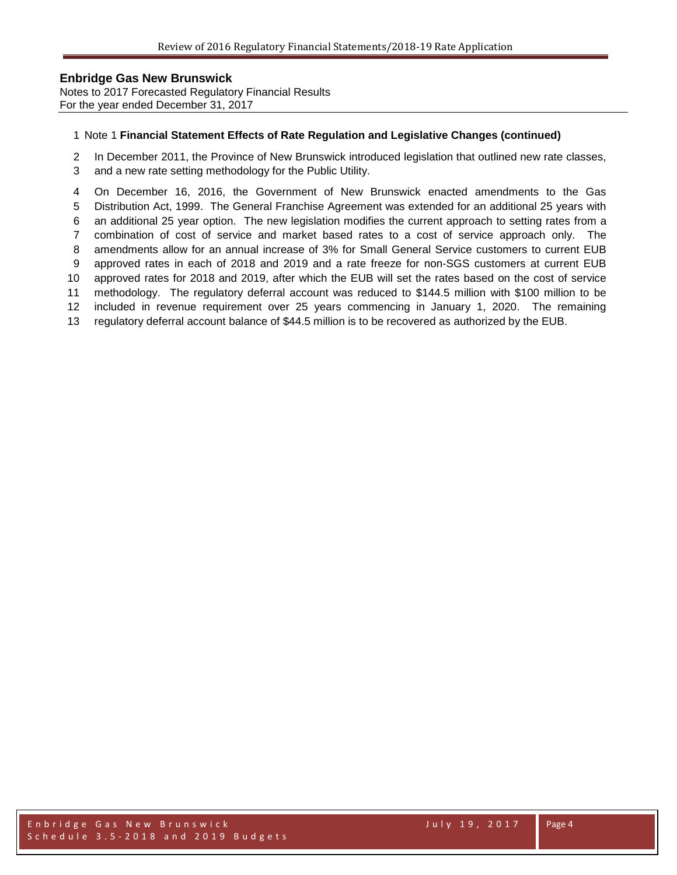Notes to 2017 Forecasted Regulatory Financial Results For the year ended December 31, 2017

#### Note 1 **Financial Statement Effects of Rate Regulation and Legislative Changes (continued)**

In December 2011, the Province of New Brunswick introduced legislation that outlined new rate classes,

and a new rate setting methodology for the Public Utility.

 On December 16, 2016, the Government of New Brunswick enacted amendments to the Gas Distribution Act, 1999. The General Franchise Agreement was extended for an additional 25 years with an additional 25 year option. The new legislation modifies the current approach to setting rates from a combination of cost of service and market based rates to a cost of service approach only. The amendments allow for an annual increase of 3% for Small General Service customers to current EUB approved rates in each of 2018 and 2019 and a rate freeze for non-SGS customers at current EUB approved rates for 2018 and 2019, after which the EUB will set the rates based on the cost of service methodology. The regulatory deferral account was reduced to \$144.5 million with \$100 million to be included in revenue requirement over 25 years commencing in January 1, 2020. The remaining regulatory deferral account balance of \$44.5 million is to be recovered as authorized by the EUB.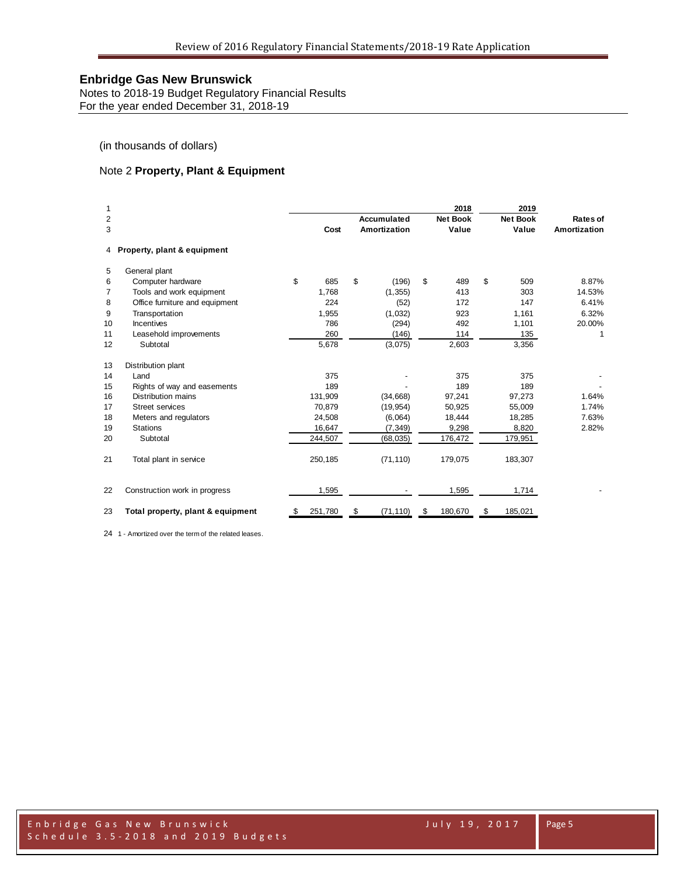Notes to 2018-19 Budget Regulatory Financial Results For the year ended December 31, 2018-19

(in thousands of dollars)

### Note 2 **Property, Plant & Equipment**

| 1              |                                   |     |         |    |              | 2018            |    | 2019            |              |
|----------------|-----------------------------------|-----|---------|----|--------------|-----------------|----|-----------------|--------------|
| $\overline{2}$ |                                   |     |         |    | Accumulated  | <b>Net Book</b> |    | <b>Net Book</b> | Rates of     |
| 3              |                                   |     | Cost    |    | Amortization | Value           |    | Value           | Amortization |
| 4              | Property, plant & equipment       |     |         |    |              |                 |    |                 |              |
| 5              | General plant                     |     |         |    |              |                 |    |                 |              |
| 6              | Computer hardware                 | \$  | 685     | \$ | (196)        | \$<br>489       | \$ | 509             | 8.87%        |
| 7              | Tools and work equipment          |     | 1,768   |    | (1, 355)     | 413             |    | 303             | 14.53%       |
| 8              | Office furniture and equipment    |     | 224     |    | (52)         | 172             |    | 147             | 6.41%        |
| 9              | Transportation                    |     | 1,955   |    | (1,032)      | 923             |    | 1,161           | 6.32%        |
| 10             | <b>Incentives</b>                 |     | 786     |    | (294)        | 492             |    | 1,101           | 20.00%       |
| 11             | Leasehold improvements            |     | 260     |    | (146)        | 114             |    | 135             | 1            |
| 12             | Subtotal                          |     | 5,678   |    | (3,075)      | 2,603           |    | 3,356           |              |
| 13             | Distribution plant                |     |         |    |              |                 |    |                 |              |
| 14             | Land                              |     | 375     |    |              | 375             |    | 375             |              |
| 15             | Rights of way and easements       |     | 189     |    |              | 189             |    | 189             |              |
| 16             | <b>Distribution mains</b>         |     | 131,909 |    | (34, 668)    | 97,241          |    | 97,273          | 1.64%        |
| 17             | <b>Street services</b>            |     | 70,879  |    | (19, 954)    | 50,925          |    | 55,009          | 1.74%        |
| 18             | Meters and regulators             |     | 24,508  |    | (6,064)      | 18,444          |    | 18,285          | 7.63%        |
| 19             | <b>Stations</b>                   |     | 16,647  |    | (7, 349)     | 9,298           |    | 8,820           | 2.82%        |
| 20             | Subtotal                          |     | 244,507 |    | (68, 035)    | 176,472         |    | 179,951         |              |
| 21             | Total plant in service            |     | 250,185 |    | (71, 110)    | 179,075         |    | 183,307         |              |
| 22             | Construction work in progress     |     | 1,595   |    |              | 1,595           |    | 1,714           |              |
| 23             | Total property, plant & equipment | -95 | 251,780 | S  | (71, 110)    | \$<br>180,670   | S  | 185,021         |              |

1 - Amortized over the term of the related leases.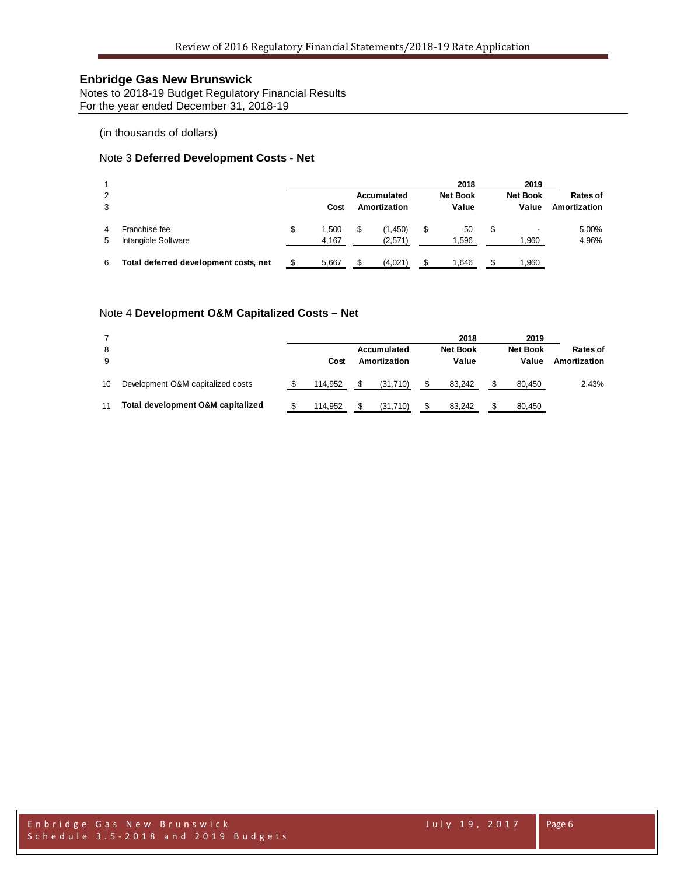Notes to 2018-19 Budget Regulatory Financial Results For the year ended December 31, 2018-19

(in thousands of dollars)

### Note 3 **Deferred Development Costs - Net**

| 2<br>3  |                                       | Cost                 | Accumulated<br>Amortization | 2018<br><b>Net Book</b><br>Value | 2019<br><b>Net Book</b><br>Value | Rates of<br>Amortization |
|---------|---------------------------------------|----------------------|-----------------------------|----------------------------------|----------------------------------|--------------------------|
| 4<br>5. | Franchise fee<br>Intangible Software  | \$<br>1.500<br>4.167 | (1, 450)<br>(2,571)         | \$<br>50<br>1,596                | \$<br>1,960                      | 5.00%<br>4.96%           |
| 6       | Total deferred development costs, net | 5,667                | (4,021)                     | .646                             | .960                             |                          |

### Note 4 **Development O&M Capitalized Costs – Net**

| 8<br>9 |                                   | Cost    | Accumulated<br>Amortization | 2018<br><b>Net Book</b><br>Value | 2019<br><b>Net Book</b><br>Value | Rates of<br>Amortization |
|--------|-----------------------------------|---------|-----------------------------|----------------------------------|----------------------------------|--------------------------|
| 10     | Development O&M capitalized costs | 114.952 | (31, 710)                   | 83.242                           | 80.450                           | 2.43%                    |
| 11     | Total development O&M capitalized | 114.952 | (31,710)                    | 83.242                           | 80,450                           |                          |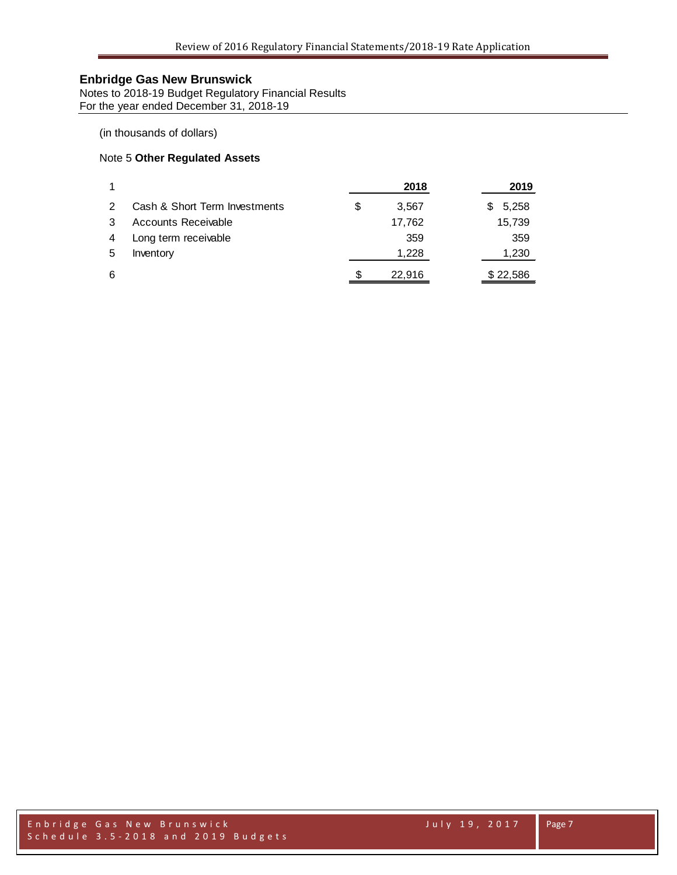Notes to 2018-19 Budget Regulatory Financial Results For the year ended December 31, 2018-19

### (in thousands of dollars)

### Note 5 **Other Regulated Assets**

|   |                               |   | 2018   | 2019       |
|---|-------------------------------|---|--------|------------|
|   | Cash & Short Term Investments | S | 3.567  | 5,258<br>S |
|   | Accounts Receivable           |   | 17,762 | 15,739     |
| 4 | Long term receivable          |   | 359    | 359        |
| 5 | Inventory                     |   | 1,228  | 1,230      |
| 6 |                               | S | 22,916 | \$22,586   |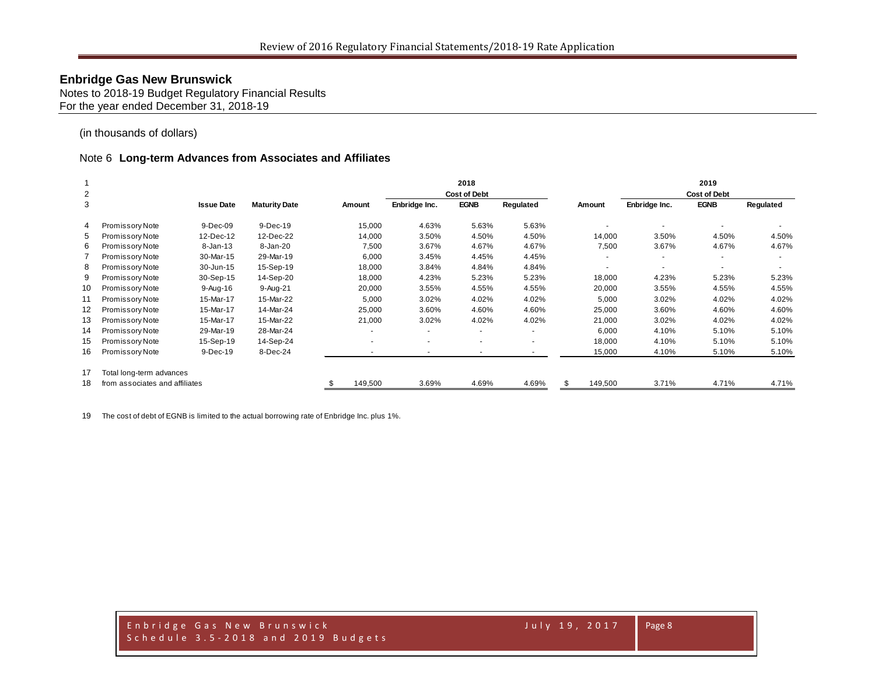Notes to 2018-19 Budget Regulatory Financial Results For the year ended December 31, 2018-19

(in thousands of dollars)

#### Note 6 **Long-term Advances from Associates and Affiliates**

|    |                                |                   |                      |                          |                          | 2018                |           |         |               | 2019                |           |
|----|--------------------------------|-------------------|----------------------|--------------------------|--------------------------|---------------------|-----------|---------|---------------|---------------------|-----------|
| 2  |                                |                   |                      |                          |                          | <b>Cost of Debt</b> |           |         |               | <b>Cost of Debt</b> |           |
| 3  |                                | <b>Issue Date</b> | <b>Maturity Date</b> | Amount                   | Enbridge Inc.            | <b>EGNB</b>         | Regulated | Amount  | Enbridge Inc. | <b>EGNB</b>         | Regulated |
| 4  | Promissory Note                | 9-Dec-09          | 9-Dec-19             | 15,000                   | 4.63%                    | 5.63%               | 5.63%     |         |               |                     |           |
| 5  | Promissory Note                | 12-Dec-12         | 12-Dec-22            | 14,000                   | 3.50%                    | 4.50%               | 4.50%     | 14,000  | 3.50%         | 4.50%               | 4.50%     |
| 6  | Promissory Note                | $8 - Jan-13$      | 8-Jan-20             | 7,500                    | 3.67%                    | 4.67%               | 4.67%     | 7,500   | 3.67%         | 4.67%               | 4.67%     |
|    | Promissory Note                | 30-Mar-15         | 29-Mar-19            | 6,000                    | 3.45%                    | 4.45%               | 4.45%     |         |               |                     |           |
| 8  | Promissory Note                | 30-Jun-15         | 15-Sep-19            | 18,000                   | 3.84%                    | 4.84%               | 4.84%     |         |               | $\sim$              |           |
| 9  | Promissory Note                | 30-Sep-15         | 14-Sep-20            | 18,000                   | 4.23%                    | 5.23%               | 5.23%     | 18,000  | 4.23%         | 5.23%               | 5.23%     |
| 10 | Promissory Note                | 9-Aug-16          | 9-Aug-21             | 20,000                   | 3.55%                    | 4.55%               | 4.55%     | 20,000  | 3.55%         | 4.55%               | 4.55%     |
| 11 | Promissory Note                | 15-Mar-17         | 15-Mar-22            | 5,000                    | 3.02%                    | 4.02%               | 4.02%     | 5,000   | 3.02%         | 4.02%               | 4.02%     |
| 12 | Promissory Note                | 15-Mar-17         | 14-Mar-24            | 25,000                   | 3.60%                    | 4.60%               | 4.60%     | 25,000  | 3.60%         | 4.60%               | 4.60%     |
| 13 | Promissory Note                | 15-Mar-17         | 15-Mar-22            | 21,000                   | 3.02%                    | 4.02%               | 4.02%     | 21,000  | 3.02%         | 4.02%               | 4.02%     |
| 14 | Promissory Note                | 29-Mar-19         | 28-Mar-24            | $\overline{\phantom{a}}$ |                          |                     |           | 6,000   | 4.10%         | 5.10%               | 5.10%     |
| 15 | Promissory Note                | 15-Sep-19         | 14-Sep-24            | $\overline{\phantom{a}}$ | $\overline{\phantom{a}}$ |                     |           | 18,000  | 4.10%         | 5.10%               | 5.10%     |
| 16 | Promissory Note                | $9-Dec-19$        | 8-Dec-24             | $\overline{\phantom{a}}$ |                          |                     |           | 15,000  | 4.10%         | 5.10%               | 5.10%     |
| 17 | Total long-term advances       |                   |                      |                          |                          |                     |           |         |               |                     |           |
| 18 | from associates and affiliates |                   |                      | 149,500                  | 3.69%                    | 4.69%               | 4.69%     | 149,500 | 3.71%         | 4.71%               | 4.71%     |

The cost of debt of EGNB is limited to the actual borrowing rate of Enbridge Inc. plus 1%.

Enbridge Gas New Brunswick July 19, 2017 Schedule 3.5 - 2018 and 2019 Budgets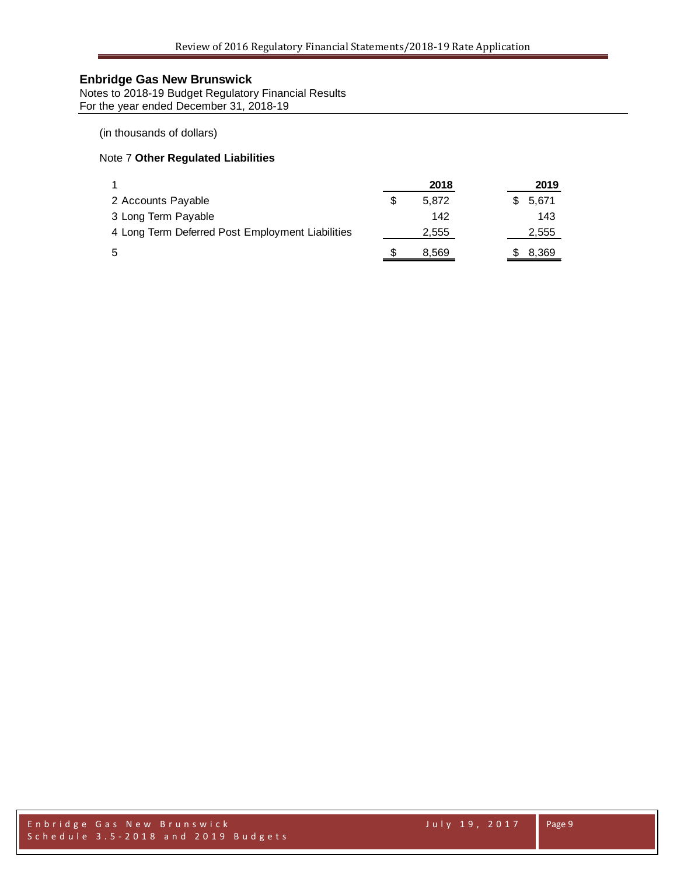Notes to 2018-19 Budget Regulatory Financial Results For the year ended December 31, 2018-19

(in thousands of dollars)

### Note 7 **Other Regulated Liabilities**

|                                                  | 2018  |  | 2019  |
|--------------------------------------------------|-------|--|-------|
| 2 Accounts Payable                               | 5.872 |  | 5.671 |
| 3 Long Term Payable                              | 142   |  | 143   |
| 4 Long Term Deferred Post Employment Liabilities | 2,555 |  | 2,555 |
| 5                                                | 8.569 |  | 8,369 |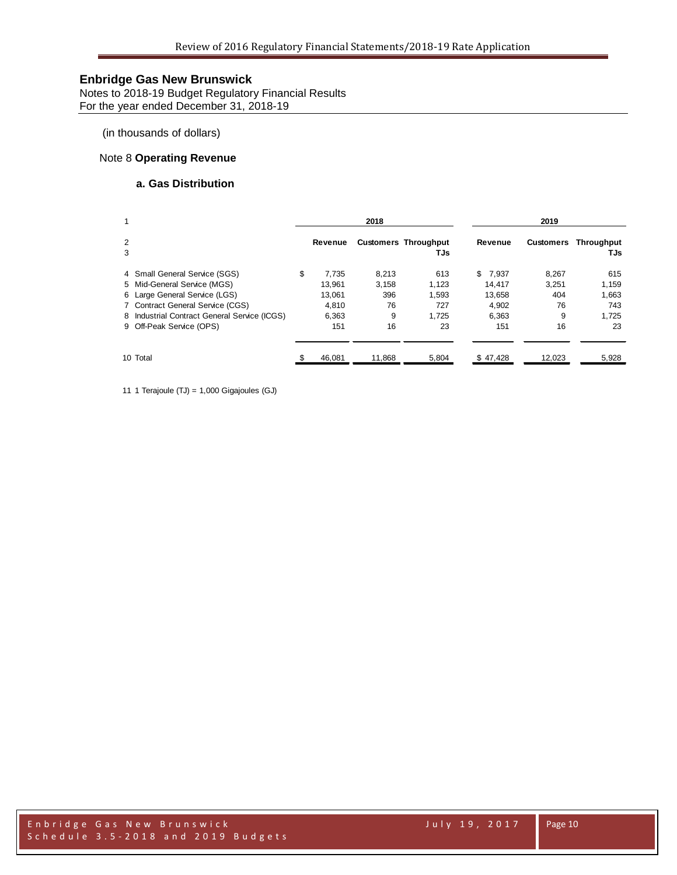Notes to 2018-19 Budget Regulatory Financial Results For the year ended December 31, 2018-19

(in thousands of dollars)

### Note 8 **Operating Revenue**

### **a. Gas Distribution**

| 1      |                                              | 2018        |        |                                    | 2019        |           |                   |  |
|--------|----------------------------------------------|-------------|--------|------------------------------------|-------------|-----------|-------------------|--|
| 2<br>3 |                                              | Revenue     |        | <b>Customers Throughput</b><br>TJs | Revenue     | Customers | Throughput<br>TJs |  |
|        | 4 Small General Service (SGS)                | \$<br>7.735 | 8,213  | 613                                | \$<br>7.937 | 8.267     | 615               |  |
|        | 5 Mid-General Service (MGS)                  | 13.961      | 3.158  | 1,123                              | 14.417      | 3.251     | 1,159             |  |
|        | 6 Large General Service (LGS)                | 13.061      | 396    | 1,593                              | 13.658      | 404       | 1,663             |  |
|        | 7 Contract General Service (CGS)             | 4.810       | 76     | 727                                | 4.902       | 76        | 743               |  |
|        | 8 Industrial Contract General Service (ICGS) | 6,363       | 9      | 1.725                              | 6.363       | 9         | 1.725             |  |
|        | 9 Off-Peak Service (OPS)                     | 151         | 16     | 23                                 | 151         | 16        | 23                |  |
|        | 10 Total                                     | 46.081      | 11.868 | 5.804                              | \$47.428    | 12.023    | 5,928             |  |

11 1 Terajoule (TJ) = 1,000 Gigajoules (GJ)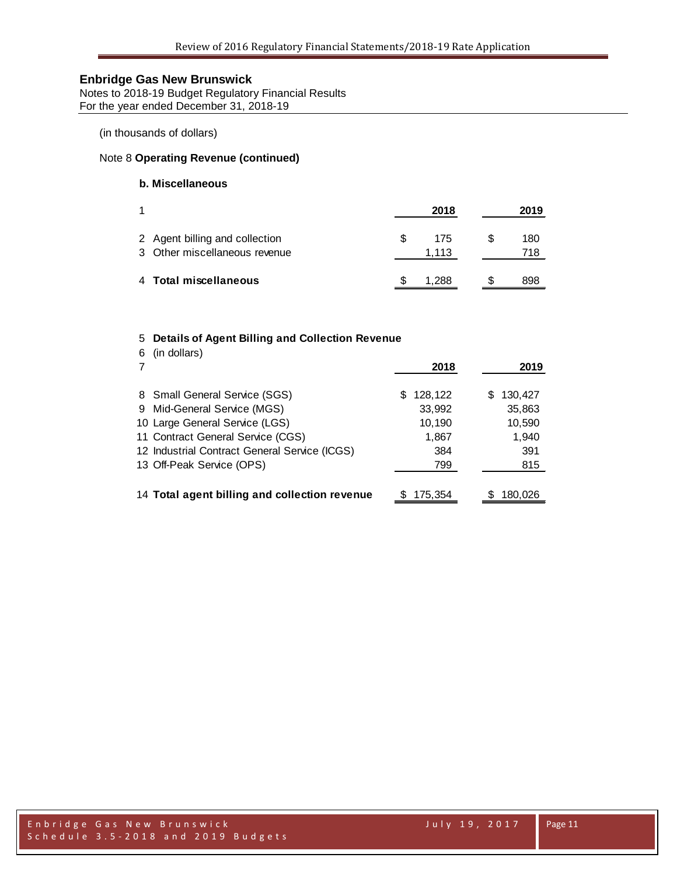Notes to 2018-19 Budget Regulatory Financial Results For the year ended December 31, 2018-19

(in thousands of dollars)

### Note 8 **Operating Revenue (continued)**

### **b. Miscellaneous**

|                                                                 |             | 2018 | 2019       |
|-----------------------------------------------------------------|-------------|------|------------|
| 2 Agent billing and collection<br>3 Other miscellaneous revenue | æ.<br>1.113 | 175  | 180<br>718 |
| 4 Total miscellaneous                                           |             | 288  | 898        |

#### 5 **Details of Agent Billing and Collection Revenue**

| (in dollars)<br>6                             | 2018          | 2019         |
|-----------------------------------------------|---------------|--------------|
| 8 Small General Service (SGS)                 | 128,122<br>S  | 130,427<br>S |
| 9 Mid-General Service (MGS)                   | 33,992        | 35,863       |
| 10 Large General Service (LGS)                | 10,190        | 10,590       |
| 11 Contract General Service (CGS)             | 1,867         | 1,940        |
| 12 Industrial Contract General Service (ICGS) | 384           | 391          |
| 13 Off-Peak Service (OPS)                     | 799           | 815          |
|                                               |               |              |
| 14 Total agent billing and collection revenue | 175.354<br>S. | 180.026      |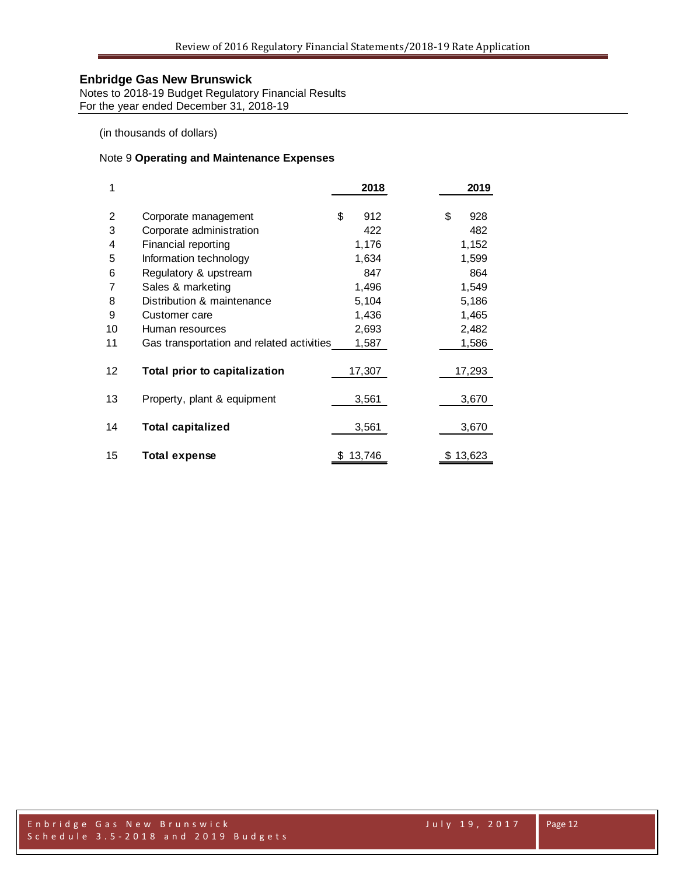Notes to 2018-19 Budget Regulatory Financial Results For the year ended December 31, 2018-19

(in thousands of dollars)

### Note 9 **Operating and Maintenance Expenses**

| 1                 |                                           | 2018        | 2019      |
|-------------------|-------------------------------------------|-------------|-----------|
| 2                 | Corporate management                      | \$<br>912   | \$<br>928 |
| 3                 | Corporate administration                  | 422         | 482       |
| 4                 | Financial reporting                       | 1,176       | 1,152     |
| 5                 | Information technology                    | 1,634       | 1,599     |
| 6                 | Regulatory & upstream                     | 847         | 864       |
| 7                 | Sales & marketing                         | 1,496       | 1,549     |
| 8                 | Distribution & maintenance                | 5,104       | 5,186     |
| 9                 | Customer care                             | 1,436       | 1,465     |
| 10                | Human resources                           | 2,693       | 2,482     |
| 11                | Gas transportation and related activities | 1,587       | 1,586     |
| $12 \overline{ }$ | Total prior to capitalization             | 17,307      | 17,293    |
| 13                | Property, plant & equipment               | 3,561       | 3,670     |
| 14                | <b>Total capitalized</b>                  | 3,561       | 3,670     |
| 15                | <b>Total expense</b>                      | 13,746<br>S | \$13,623  |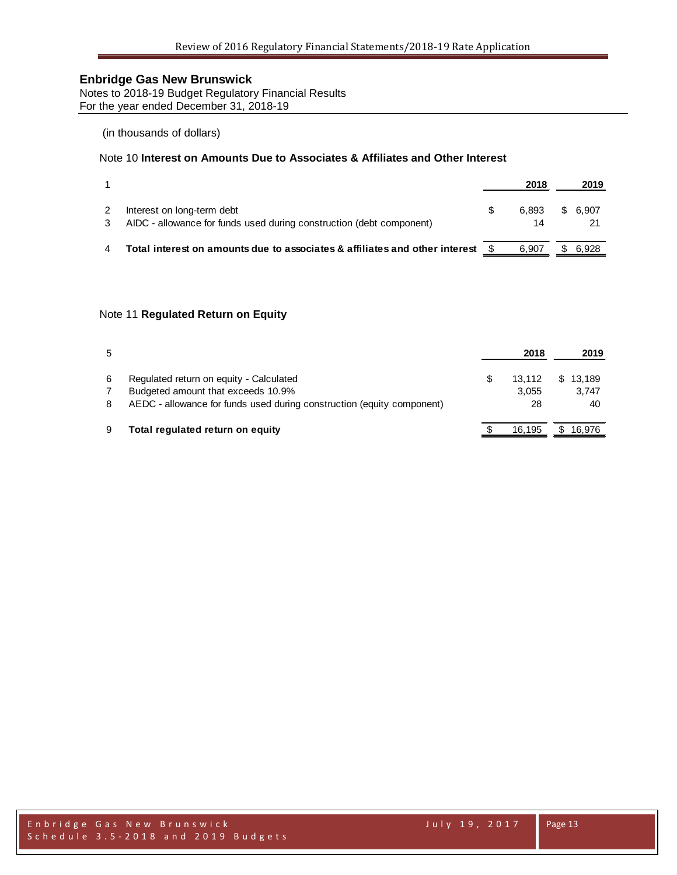Notes to 2018-19 Budget Regulatory Financial Results For the year ended December 31, 2018-19

### (in thousands of dollars)

### Note 10 **Interest on Amounts Due to Associates & Affiliates and Other Interest**

|                                                                                                    | 2018        |    | 2019  |
|----------------------------------------------------------------------------------------------------|-------------|----|-------|
| Interest on long-term debt<br>AIDC - allowance for funds used during construction (debt component) | 6.893<br>14 | S. | 6.907 |
| Total interest on amounts due to associates & affiliates and other interest                        | 6.907       |    | 6.928 |

#### Note 11 **Regulated Return on Equity**

| 5 |                                                                        | 2018   | 2019     |
|---|------------------------------------------------------------------------|--------|----------|
| 6 | Regulated return on equity - Calculated                                | 13.112 | \$13.189 |
|   | Budgeted amount that exceeds 10.9%                                     | 3.055  | 3.747    |
| 8 | AEDC - allowance for funds used during construction (equity component) | 28     | 40       |
| 9 | Total regulated return on equity                                       | 16.195 | \$16.976 |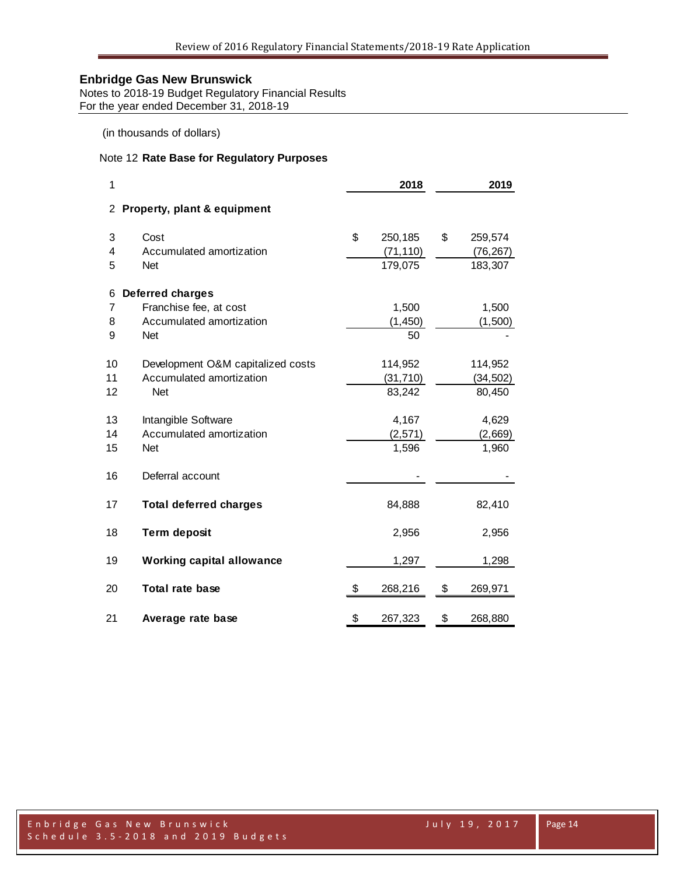Notes to 2018-19 Budget Regulatory Financial Results For the year ended December 31, 2018-19

(in thousands of dollars)

### Note 12 **Rate Base for Regulatory Purposes**

| 1                     |                                   | 2018          | 2019          |
|-----------------------|-----------------------------------|---------------|---------------|
| $\mathbf{2}^{\prime}$ | Property, plant & equipment       |               |               |
| 3                     | Cost                              | \$<br>250,185 | \$<br>259,574 |
| 4                     | Accumulated amortization          | (71, 110)     | (76, 267)     |
| 5                     | Net                               | 179,075       | 183,307       |
| 6                     | <b>Deferred charges</b>           |               |               |
| 7                     | Franchise fee, at cost            | 1,500         | 1,500         |
| 8                     | Accumulated amortization          | (1, 450)      | (1,500)       |
| 9                     | <b>Net</b>                        | 50            |               |
| 10                    | Development O&M capitalized costs | 114,952       | 114,952       |
| 11                    | Accumulated amortization          | (31, 710)     | (34, 502)     |
| 12                    | <b>Net</b>                        | 83,242        | 80,450        |
| 13                    | Intangible Software               | 4,167         | 4,629         |
| 14                    | Accumulated amortization          | (2,571)       | (2,669)       |
| 15                    | Net                               | 1,596         | 1,960         |
| 16                    | Deferral account                  |               |               |
| 17                    | <b>Total deferred charges</b>     | 84,888        | 82,410        |
| 18                    | <b>Term deposit</b>               | 2,956         | 2,956         |
| 19                    | <b>Working capital allowance</b>  | 1,297         | 1,298         |
| 20                    | Total rate base                   | \$<br>268,216 | \$<br>269,971 |
| 21                    | Average rate base                 | \$<br>267,323 | \$<br>268,880 |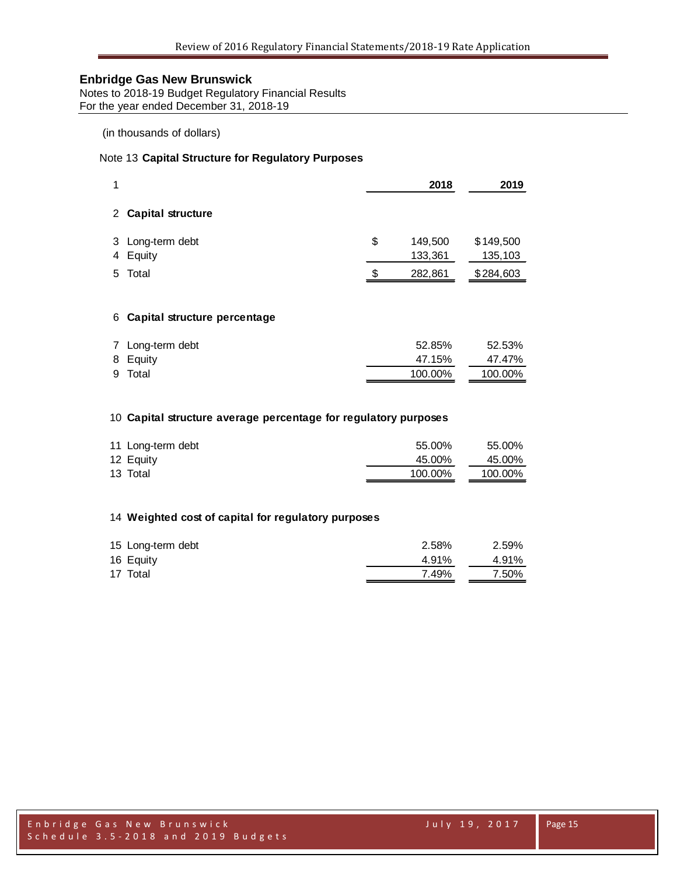Notes to 2018-19 Budget Regulatory Financial Results For the year ended December 31, 2018-19

### (in thousands of dollars)

### Note 13 **Capital Structure for Regulatory Purposes**

| 1           |                                | 2018                     | 2019                 |
|-------------|--------------------------------|--------------------------|----------------------|
|             | 2 Capital structure            |                          |                      |
|             | 3 Long-term debt<br>4 Equity   | \$<br>149,500<br>133,361 | \$149,500<br>135,103 |
|             | 5 Total                        | \$<br>282,861            | \$284,603            |
|             |                                |                          |                      |
|             | 6 Capital structure percentage |                          |                      |
| $7^{\circ}$ | Long-term debt                 | 52.85%                   | 52.53%               |

| <b>I</b> LUIN WIII YOU | <b>UL.UU</b> /U | <b>UL.UU</b> /U |
|------------------------|-----------------|-----------------|
| 8 Equity               | 47.15%          | 47.47%          |
| 9 Total                | 100.00%         | 100.00%         |

#### **Capital structure average percentage for regulatory purposes**

| 11 Long-term debt | 55.00%  | 55.00%  |
|-------------------|---------|---------|
| 12 Equity         | 45.00%  | 45.00%  |
| 13 Total          | 100.00% | 100.00% |

### **Weighted cost of capital for regulatory purposes**

| 15 Long-term debt | 2.58% | 2.59% |
|-------------------|-------|-------|
| 16 Equity         | 4.91% | 4.91% |
| 17 Total          | 7.49% | 7.50% |